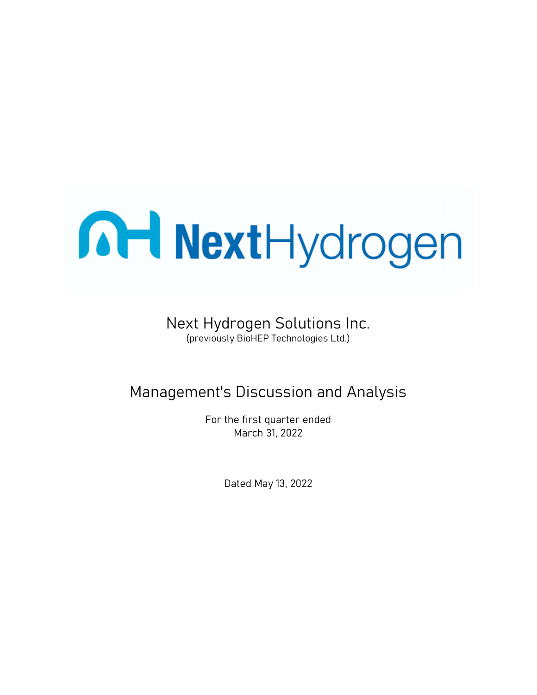

# Next Hydrogen Solutions Inc. (previously BioHEP Technologies Ltd.)

# Management's Discussion and Analysis

For the first quarter ended March 31, 2022

Dated May 13, 2022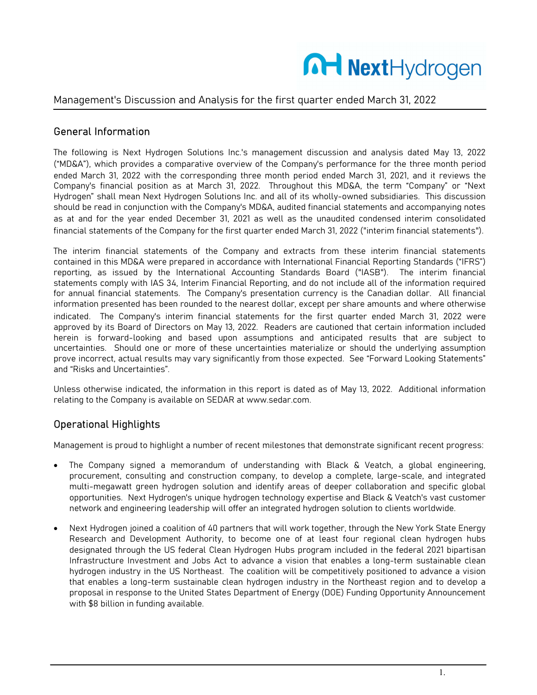

# General Information

The following is Next Hydrogen Solutions Inc.'s management discussion and analysis dated May 13, 2022 ("MD&A"), which provides a comparative overview of the Company's performance for the three month period ended March 31, 2022 with the corresponding three month period ended March 31, 2021, and it reviews the Company's financial position as at March 31, 2022. Throughout this MD&A, the term "Company" or "Next Hydrogen" shall mean Next Hydrogen Solutions Inc. and all of its wholly-owned subsidiaries. This discussion should be read in conjunction with the Company's MD&A, audited financial statements and accompanying notes as at and for the year ended December 31, 2021 as well as the unaudited condensed interim consolidated financial statements of the Company for the first quarter ended March 31, 2022 ("interim financial statements").

The interim financial statements of the Company and extracts from these interim financial statements contained in this MD&A were prepared in accordance with International Financial Reporting Standards ("IFRS") reporting, as issued by the International Accounting Standards Board ("IASB"). The interim financial statements comply with IAS 34, Interim Financial Reporting, and do not include all of the information required for annual financial statements. The Company's presentation currency is the Canadian dollar. All financial information presented has been rounded to the nearest dollar, except per share amounts and where otherwise indicated. The Company's interim financial statements for the first quarter ended March 31, 2022 were approved by its Board of Directors on May 13, 2022. Readers are cautioned that certain information included herein is forward-looking and based upon assumptions and anticipated results that are subject to uncertainties. Should one or more of these uncertainties materialize or should the underlying assumption prove incorrect, actual results may vary significantly from those expected. See "Forward Looking Statements" and "Risks and Uncertainties".

Unless otherwise indicated, the information in this report is dated as of May 13, 2022. Additional information relating to the Company is available on SEDAR at www.sedar.com.

# Operational Highlights

Management is proud to highlight a number of recent milestones that demonstrate significant recent progress:

- The Company signed a memorandum of understanding with Black & Veatch, a global engineering, procurement, consulting and construction company, to develop a complete, large-scale, and integrated multi-megawatt green hydrogen solution and identify areas of deeper collaboration and specific global opportunities. Next Hydrogen's unique hydrogen technology expertise and Black & Veatch's vast customer network and engineering leadership will offer an integrated hydrogen solution to clients worldwide.
- Next Hydrogen joined a coalition of 40 partners that will work together, through the New York State Energy Research and Development Authority, to become one of at least four regional clean hydrogen hubs designated through the US federal Clean Hydrogen Hubs program included in the federal 2021 bipartisan Infrastructure Investment and Jobs Act to advance a vision that enables a long-term sustainable clean hydrogen industry in the US Northeast. The coalition will be competitively positioned to advance a vision that enables a long-term sustainable clean hydrogen industry in the Northeast region and to develop a proposal in response to the United States Department of Energy (DOE) Funding Opportunity Announcement with \$8 billion in funding available.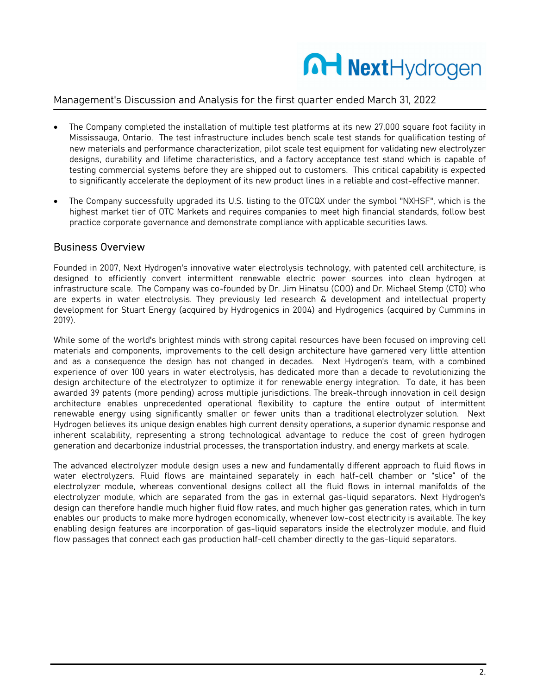

- The Company completed the installation of multiple test platforms at its new 27,000 square foot facility in Mississauga, Ontario. The test infrastructure includes bench scale test stands for qualification testing of new materials and performance characterization, pilot scale test equipment for validating new electrolyzer designs, durability and lifetime characteristics, and a factory acceptance test stand which is capable of testing commercial systems before they are shipped out to customers. This critical capability is expected to significantly accelerate the deployment of its new product lines in a reliable and cost-effective manner.
- The Company successfully upgraded its U.S. listing to the OTCQX under the symbol "NXHSF", which is the highest market tier of OTC Markets and requires companies to meet high financial standards, follow best practice corporate governance and demonstrate compliance with applicable securities laws.

#### Business Overview

Founded in 2007, Next Hydrogen's innovative water electrolysis technology, with patented cell architecture, is designed to efficiently convert intermittent renewable electric power sources into clean hydrogen at infrastructure scale. The Company was co-founded by Dr. Jim Hinatsu (COO) and Dr. Michael Stemp (CTO) who are experts in water electrolysis. They previously led research & development and intellectual property development for Stuart Energy (acquired by Hydrogenics in 2004) and Hydrogenics (acquired by Cummins in 2019).

While some of the world's brightest minds with strong capital resources have been focused on improving cell materials and components, improvements to the cell design architecture have garnered very little attention and as a consequence the design has not changed in decades. Next Hydrogen's team, with a combined experience of over 100 years in water electrolysis, has dedicated more than a decade to revolutionizing the design architecture of the electrolyzer to optimize it for renewable energy integration. To date, it has been awarded 39 patents (more pending) across multiple jurisdictions. The break-through innovation in cell design architecture enables unprecedented operational flexibility to capture the entire output of intermittent renewable energy using significantly smaller or fewer units than a traditional electrolyzer solution. Next Hydrogen believes its unique design enables high current density operations, a superior dynamic response and inherent scalability, representing a strong technological advantage to reduce the cost of green hydrogen generation and decarbonize industrial processes, the transportation industry, and energy markets at scale.

The advanced electrolyzer module design uses a new and fundamentally different approach to fluid flows in water electrolyzers. Fluid flows are maintained separately in each half-cell chamber or "slice" of the electrolyzer module, whereas conventional designs collect all the fluid flows in internal manifolds of the electrolyzer module, which are separated from the gas in external gas-liquid separators. Next Hydrogen's design can therefore handle much higher fluid flow rates, and much higher gas generation rates, which in turn enables our products to make more hydrogen economically, whenever low-cost electricity is available. The key enabling design features are incorporation of gas-liquid separators inside the electrolyzer module, and fluid flow passages that connect each gas production half-cell chamber directly to the gas-liquid separators.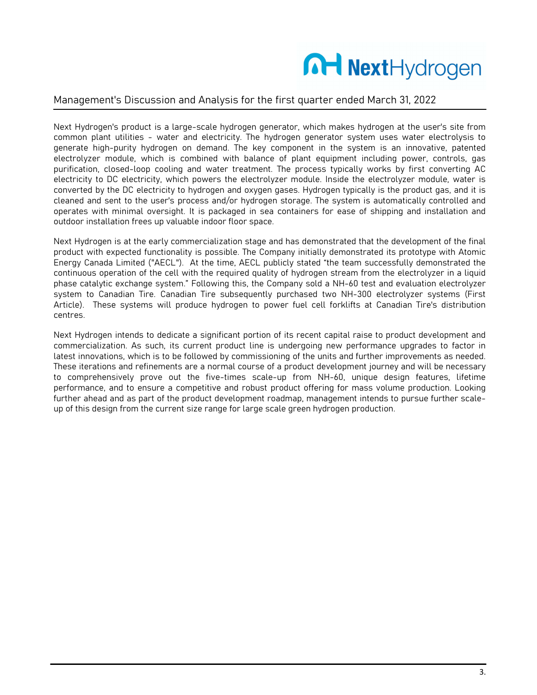

Next Hydrogen's product is a large-scale hydrogen generator, which makes hydrogen at the user's site from common plant utilities - water and electricity. The hydrogen generator system uses water electrolysis to generate high-purity hydrogen on demand. The key component in the system is an innovative, patented electrolyzer module, which is combined with balance of plant equipment including power, controls, gas purification, closed-loop cooling and water treatment. The process typically works by first converting AC electricity to DC electricity, which powers the electrolyzer module. Inside the electrolyzer module, water is converted by the DC electricity to hydrogen and oxygen gases. Hydrogen typically is the product gas, and it is cleaned and sent to the user's process and/or hydrogen storage. The system is automatically controlled and operates with minimal oversight. It is packaged in sea containers for ease of shipping and installation and outdoor installation frees up valuable indoor floor space.

Next Hydrogen is at the early commercialization stage and has demonstrated that the development of the final product with expected functionality is possible. The Company initially demonstrated its prototype with Atomic Energy Canada Limited ("AECL"). At the time, AECL publicly stated "the team successfully demonstrated the continuous operation of the cell with the required quality of hydrogen stream from the electrolyzer in a liquid phase catalytic exchange system." Following this, the Company sold a NH-60 test and evaluation electrolyzer system to Canadian Tire. Canadian Tire subsequently purchased two NH-300 electrolyzer systems (First Article). These systems will produce hydrogen to power fuel cell forklifts at Canadian Tire's distribution centres.

Next Hydrogen intends to dedicate a significant portion of its recent capital raise to product development and commercialization. As such, its current product line is undergoing new performance upgrades to factor in latest innovations, which is to be followed by commissioning of the units and further improvements as needed. These iterations and refinements are a normal course of a product development journey and will be necessary to comprehensively prove out the five-times scale-up from NH-60, unique design features, lifetime performance, and to ensure a competitive and robust product offering for mass volume production. Looking further ahead and as part of the product development roadmap, management intends to pursue further scaleup of this design from the current size range for large scale green hydrogen production.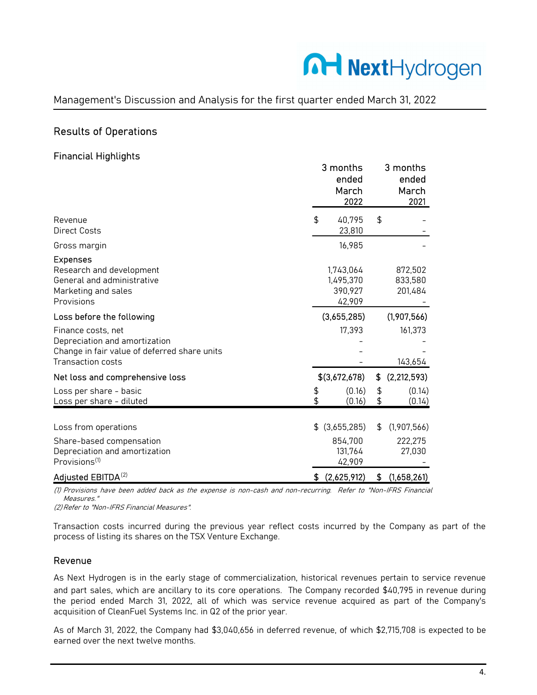# MartHydrogen

### Management's Discussion and Analysis for the first quarter ended March 31, 2022

# Results of Operations

#### Financial Highlights

|                                                                                                                |          | 3 months<br>ended<br>March<br>2022          |          | 3 months<br>ended<br>March<br>2021 |
|----------------------------------------------------------------------------------------------------------------|----------|---------------------------------------------|----------|------------------------------------|
| Revenue<br><b>Direct Costs</b>                                                                                 | \$       | 40,795<br>23,810                            | \$       |                                    |
| Gross margin                                                                                                   |          | 16,985                                      |          |                                    |
| <b>Expenses</b><br>Research and development<br>General and administrative<br>Marketing and sales<br>Provisions |          | 1,743,064<br>1,495,370<br>390,927<br>42,909 |          | 872,502<br>833,580<br>201,484      |
| Loss before the following                                                                                      |          | (3,655,285)                                 |          | (1,907,566)                        |
| Finance costs, net<br>Depreciation and amortization<br>Change in fair value of deferred share units            |          | 17,393                                      |          | 161,373                            |
| Transaction costs                                                                                              |          |                                             |          | 143,654                            |
| Net loss and comprehensive loss                                                                                |          | \$(3,672,678)                               | \$       | (2, 212, 593)                      |
| Loss per share - basic<br>Loss per share - diluted                                                             | \$<br>\$ | (0.16)<br>(0.16)                            | \$<br>\$ | (0.14)<br>(0.14)                   |
| Loss from operations                                                                                           | \$       | (3,655,285)                                 | \$       | (1,907,566)                        |
| Share-based compensation<br>Depreciation and amortization<br>Provisions <sup>(1)</sup>                         |          | 854,700<br>131,764<br>42,909                |          | 222,275<br>27,030                  |
| Adjusted EBITDA <sup>(2)</sup>                                                                                 | \$       | (2,625,912)                                 | \$       | (1,658,261)                        |

(1) Provisions have been added back as the expense is non-cash and non-recurring. Refer to "Non-IFRS Financial Measures."

(2) Refer to "Non-IFRS Financial Measures".

Transaction costs incurred during the previous year reflect costs incurred by the Company as part of the process of listing its shares on the TSX Venture Exchange.

#### Revenue

As Next Hydrogen is in the early stage of commercialization, historical revenues pertain to service revenue and part sales, which are ancillary to its core operations. The Company recorded \$40,795 in revenue during the period ended March 31, 2022, all of which was service revenue acquired as part of the Company's acquisition of CleanFuel Systems Inc. in Q2 of the prior year.

As of March 31, 2022, the Company had \$3,040,656 in deferred revenue, of which \$2,715,708 is expected to be earned over the next twelve months.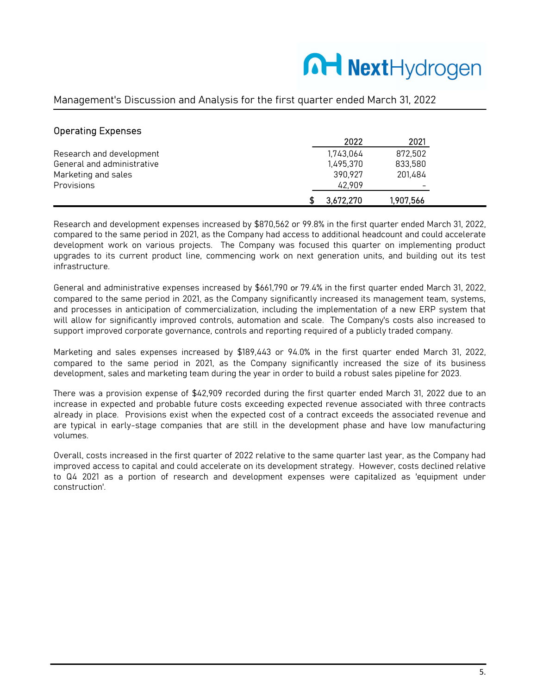# MartHydrogen

### Management's Discussion and Analysis for the first quarter ended March 31, 2022

| <b>Operating Expenses</b>  |           |           |
|----------------------------|-----------|-----------|
|                            | 2022      | 2021      |
| Research and development   | 1,743,064 | 872.502   |
| General and administrative | 1.495.370 | 833,580   |
| Marketing and sales        | 390.927   | 201.484   |
| Provisions                 | 42.909    |           |
|                            | 3,672,270 | 1,907,566 |

Research and development expenses increased by \$870,562 or 99.8% in the first quarter ended March 31, 2022, compared to the same period in 2021, as the Company had access to additional headcount and could accelerate development work on various projects. The Company was focused this quarter on implementing product upgrades to its current product line, commencing work on next generation units, and building out its test infrastructure.

General and administrative expenses increased by \$661,790 or 79.4% in the first quarter ended March 31, 2022, compared to the same period in 2021, as the Company significantly increased its management team, systems, and processes in anticipation of commercialization, including the implementation of a new ERP system that will allow for significantly improved controls, automation and scale. The Company's costs also increased to support improved corporate governance, controls and reporting required of a publicly traded company.

Marketing and sales expenses increased by \$189,443 or 94.0% in the first quarter ended March 31, 2022, compared to the same period in 2021, as the Company significantly increased the size of its business development, sales and marketing team during the year in order to build a robust sales pipeline for 2023.

There was a provision expense of \$42,909 recorded during the first quarter ended March 31, 2022 due to an increase in expected and probable future costs exceeding expected revenue associated with three contracts already in place. Provisions exist when the expected cost of a contract exceeds the associated revenue and are typical in early-stage companies that are still in the development phase and have low manufacturing volumes.

Overall, costs increased in the first quarter of 2022 relative to the same quarter last year, as the Company had improved access to capital and could accelerate on its development strategy. However, costs declined relative to Q4 2021 as a portion of research and development expenses were capitalized as 'equipment under construction'.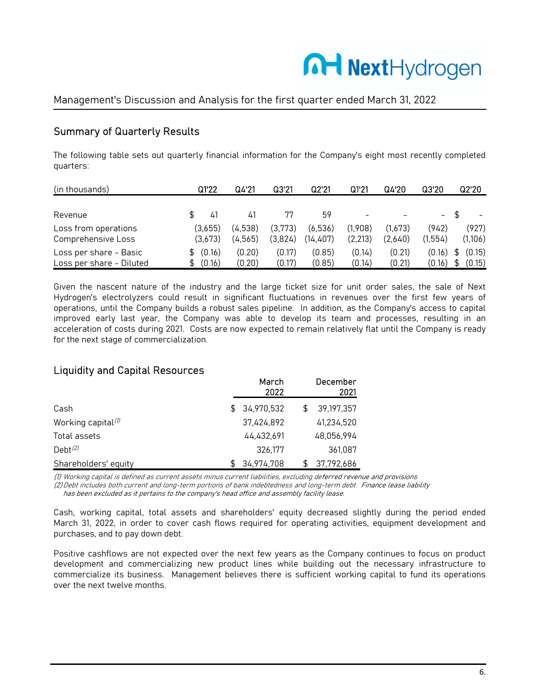

# Summary of Quarterly Results

The following table sets out quarterly financial information for the Company's eight most recently completed quarters:

| (in thousands)                                     | Q122                    | Q4'21              | Q3'21              | Q2'21               | Q1'21               | Q4'20              | Q3'20                      | Q2'20            |
|----------------------------------------------------|-------------------------|--------------------|--------------------|---------------------|---------------------|--------------------|----------------------------|------------------|
| Revenue                                            | 41                      | 41                 | 77                 | 59                  |                     |                    | $-$                        |                  |
| Loss from operations<br>Comprehensive Loss         | (3.655)<br>(3.673)      | (4,538)<br>(4.565) | (3.773)<br>(3,824) | (6,536)<br>(14,407) | (1,908)<br>(2, 213) | (1.673)<br>(2,640) | (942)<br>(1.554)           | (927)<br>(1,106) |
| Loss per share - Basic<br>Loss per share - Diluted | (0.16)<br>\$.<br>(0.16) | (0.20)<br>(0.20)   | (0.17)<br>(0.17)   | (0.85)<br>(0.85)    | (0.14)<br>(0.14)    | (0.21)<br>(0.21)   | $(0.16)$ \$<br>$(0.16)$ \$ | (0.15)<br>(0.15) |

Given the nascent nature of the industry and the large ticket size for unit order sales, the sale of Next Hydrogen's electrolyzers could result in significant fluctuations in revenues over the first few years of operations, until the Company builds a robust sales pipeline. In addition, as the Company's access to capital improved early last year, the Company was able to develop its team and processes, resulting in an acceleration of costs during 2021. Costs are now expected to remain relatively flat until the Company is ready for the next stage of commercialization.

### Liquidity and Capital Resources

|                                                 |     | March<br>2022 | December<br>2021 |
|-------------------------------------------------|-----|---------------|------------------|
| Cash                                            | \$. | 34,970,532    | 39,197,357       |
| Working capital <sup>(<math>\theta</math></sup> |     | 37,424,892    | 41,234,520       |
| Total assets                                    |     | 44.432.691    | 48,056,994       |
| $Debt^{(2)}$                                    |     | 326.177       | 361.087          |
| Shareholders' equity                            | \$. | 34,974,708    | 37,792,686       |

(1) Working capital is defined as current assets minus current liabilities, excluding deferred revenue and provisions

(2)Debt includes both current and long-term portions of bank indebtedness and long-term debt. Finance lease liability

has been excluded as it pertains to the company's head office and assembly facility lease.

Cash, working capital, total assets and shareholders' equity decreased slightly during the period ended March 31, 2022, in order to cover cash flows required for operating activities, equipment development and purchases, and to pay down debt.

Positive cashflows are not expected over the next few years as the Company continues to focus on product development and commercializing new product lines while building out the necessary infrastructure to commercialize its business. Management believes there is sufficient working capital to fund its operations over the next twelve months.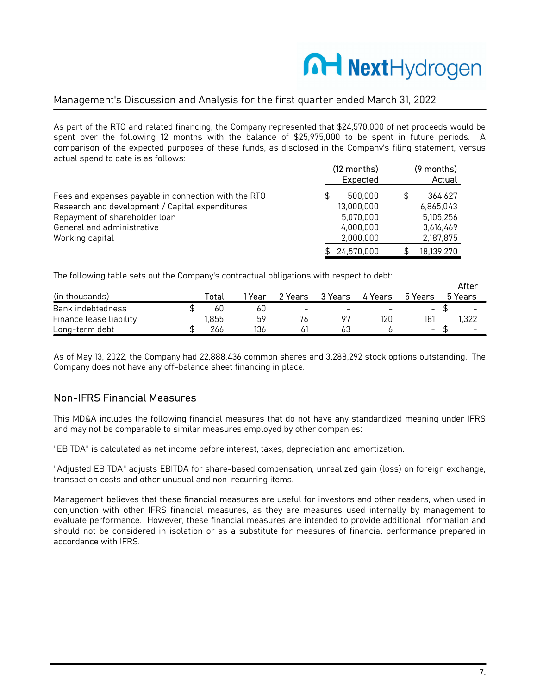# **A-I Next**Hydrogen

### Management's Discussion and Analysis for the first quarter ended March 31, 2022

As part of the RTO and related financing, the Company represented that \$24,570,000 of net proceeds would be spent over the following 12 months with the balance of \$25,975,000 to be spent in future periods. A comparison of the expected purposes of these funds, as disclosed in the Company's filing statement, versus actual spend to date is as follows:

|                                                      | $(12$ months)<br>Expected |     | (9 months)<br>Actual |
|------------------------------------------------------|---------------------------|-----|----------------------|
| Fees and expenses payable in connection with the RTO | 500.000<br>S              | \$. | 364.627              |
| Research and development / Capital expenditures      | 13,000,000                |     | 6,865,043            |
| Repayment of shareholder loan                        | 5.070.000                 |     | 5,105,256            |
| General and administrative                           | 4.000.000                 |     | 3,616,469            |
| Working capital                                      | 2,000,000                 |     | 2,187,875            |
|                                                      | \$ 24,570,000             | Æ.  | 18,139,270           |

The following table sets out the Company's contractual obligations with respect to debt:

|                         |       |        |                 |                          |                          |                          | After                    |
|-------------------------|-------|--------|-----------------|--------------------------|--------------------------|--------------------------|--------------------------|
| (in thousands)          | Total | 1 Year | 2 Years         | 3 Years                  | 4 Years                  | 5 Years                  | 5 Years                  |
| Bank indebtedness       | 60    | 60     | $\qquad \qquad$ | $\overline{\phantom{0}}$ | $\overline{\phantom{m}}$ | $\overline{\phantom{a}}$ | $\overline{\phantom{a}}$ |
| Finance lease liability | .855  | 59     | 76              |                          | 120                      | 181                      | .322                     |
| Long-term debt          | 266   | 136    |                 | 63                       |                          | $\overline{\phantom{a}}$ | $\overline{\phantom{0}}$ |

As of May 13, 2022, the Company had 22,888,436 common shares and 3,288,292 stock options outstanding. The Company does not have any off-balance sheet financing in place.

### Non-IFRS Financial Measures

This MD&A includes the following financial measures that do not have any standardized meaning under IFRS and may not be comparable to similar measures employed by other companies:

"EBITDA" is calculated as net income before interest, taxes, depreciation and amortization.

"Adjusted EBITDA" adjusts EBITDA for share-based compensation, unrealized gain (loss) on foreign exchange, transaction costs and other unusual and non-recurring items.

Management believes that these financial measures are useful for investors and other readers, when used in conjunction with other IFRS financial measures, as they are measures used internally by management to evaluate performance. However, these financial measures are intended to provide additional information and should not be considered in isolation or as a substitute for measures of financial performance prepared in accordance with IFRS.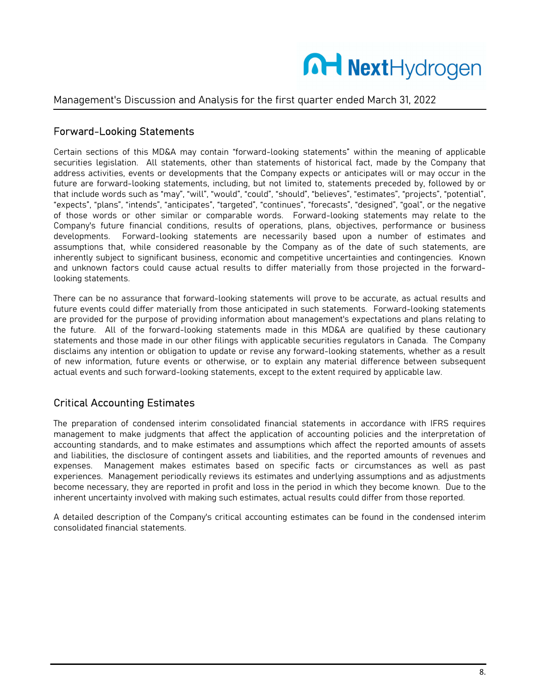

#### Forward-Looking Statements

Certain sections of this MD&A may contain "forward-looking statements" within the meaning of applicable securities legislation. All statements, other than statements of historical fact, made by the Company that address activities, events or developments that the Company expects or anticipates will or may occur in the future are forward-looking statements, including, but not limited to, statements preceded by, followed by or that include words such as "may", "will", "would", "could", "should", "believes", "estimates", "projects", "potential", "expects", "plans", "intends", "anticipates", "targeted", "continues", "forecasts", "designed", "goal", or the negative of those words or other similar or comparable words. Forward-looking statements may relate to the Company's future financial conditions, results of operations, plans, objectives, performance or business developments. Forward-looking statements are necessarily based upon a number of estimates and assumptions that, while considered reasonable by the Company as of the date of such statements, are inherently subject to significant business, economic and competitive uncertainties and contingencies. Known and unknown factors could cause actual results to differ materially from those projected in the forwardlooking statements.

There can be no assurance that forward-looking statements will prove to be accurate, as actual results and future events could differ materially from those anticipated in such statements. Forward-looking statements are provided for the purpose of providing information about management's expectations and plans relating to the future. All of the forward-looking statements made in this MD&A are qualified by these cautionary statements and those made in our other filings with applicable securities regulators in Canada. The Company disclaims any intention or obligation to update or revise any forward-looking statements, whether as a result of new information, future events or otherwise, or to explain any material difference between subsequent actual events and such forward-looking statements, except to the extent required by applicable law.

### Critical Accounting Estimates

The preparation of condensed interim consolidated financial statements in accordance with IFRS requires management to make judgments that affect the application of accounting policies and the interpretation of accounting standards, and to make estimates and assumptions which affect the reported amounts of assets and liabilities, the disclosure of contingent assets and liabilities, and the reported amounts of revenues and expenses. Management makes estimates based on specific facts or circumstances as well as past experiences. Management periodically reviews its estimates and underlying assumptions and as adjustments become necessary, they are reported in profit and loss in the period in which they become known. Due to the inherent uncertainty involved with making such estimates, actual results could differ from those reported.

A detailed description of the Company's critical accounting estimates can be found in the condensed interim consolidated financial statements.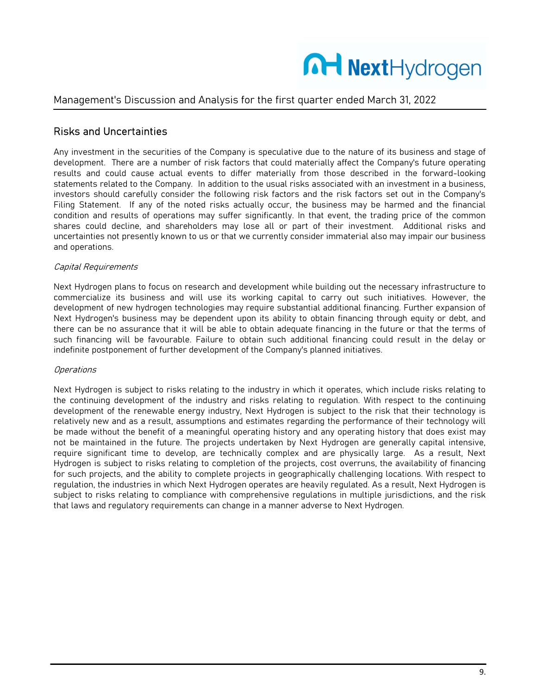

# Risks and Uncertainties

Any investment in the securities of the Company is speculative due to the nature of its business and stage of development. There are a number of risk factors that could materially affect the Company's future operating results and could cause actual events to differ materially from those described in the forward-looking statements related to the Company. In addition to the usual risks associated with an investment in a business, investors should carefully consider the following risk factors and the risk factors set out in the Company's Filing Statement. If any of the noted risks actually occur, the business may be harmed and the financial condition and results of operations may suffer significantly. In that event, the trading price of the common shares could decline, and shareholders may lose all or part of their investment. Additional risks and uncertainties not presently known to us or that we currently consider immaterial also may impair our business and operations.

#### Capital Requirements

Next Hydrogen plans to focus on research and development while building out the necessary infrastructure to commercialize its business and will use its working capital to carry out such initiatives. However, the development of new hydrogen technologies may require substantial additional financing. Further expansion of Next Hydrogen's business may be dependent upon its ability to obtain financing through equity or debt, and there can be no assurance that it will be able to obtain adequate financing in the future or that the terms of such financing will be favourable. Failure to obtain such additional financing could result in the delay or indefinite postponement of further development of the Company's planned initiatives.

#### **Operations**

Next Hydrogen is subject to risks relating to the industry in which it operates, which include risks relating to the continuing development of the industry and risks relating to regulation. With respect to the continuing development of the renewable energy industry, Next Hydrogen is subject to the risk that their technology is relatively new and as a result, assumptions and estimates regarding the performance of their technology will be made without the benefit of a meaningful operating history and any operating history that does exist may not be maintained in the future. The projects undertaken by Next Hydrogen are generally capital intensive, require significant time to develop, are technically complex and are physically large. As a result, Next Hydrogen is subject to risks relating to completion of the projects, cost overruns, the availability of financing for such projects, and the ability to complete projects in geographically challenging locations. With respect to regulation, the industries in which Next Hydrogen operates are heavily regulated. As a result, Next Hydrogen is subject to risks relating to compliance with comprehensive regulations in multiple jurisdictions, and the risk that laws and regulatory requirements can change in a manner adverse to Next Hydrogen.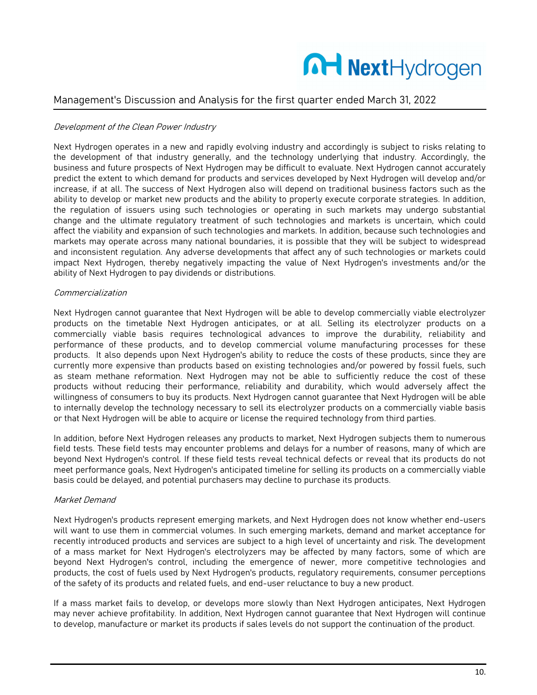

#### Development of the Clean Power Industry

Next Hydrogen operates in a new and rapidly evolving industry and accordingly is subject to risks relating to the development of that industry generally, and the technology underlying that industry. Accordingly, the business and future prospects of Next Hydrogen may be difficult to evaluate. Next Hydrogen cannot accurately predict the extent to which demand for products and services developed by Next Hydrogen will develop and/or increase, if at all. The success of Next Hydrogen also will depend on traditional business factors such as the ability to develop or market new products and the ability to properly execute corporate strategies. In addition, the regulation of issuers using such technologies or operating in such markets may undergo substantial change and the ultimate regulatory treatment of such technologies and markets is uncertain, which could affect the viability and expansion of such technologies and markets. In addition, because such technologies and markets may operate across many national boundaries, it is possible that they will be subject to widespread and inconsistent regulation. Any adverse developments that affect any of such technologies or markets could impact Next Hydrogen, thereby negatively impacting the value of Next Hydrogen's investments and/or the ability of Next Hydrogen to pay dividends or distributions.

#### Commercialization

Next Hydrogen cannot guarantee that Next Hydrogen will be able to develop commercially viable electrolyzer products on the timetable Next Hydrogen anticipates, or at all. Selling its electrolyzer products on a commercially viable basis requires technological advances to improve the durability, reliability and performance of these products, and to develop commercial volume manufacturing processes for these products. It also depends upon Next Hydrogen's ability to reduce the costs of these products, since they are currently more expensive than products based on existing technologies and/or powered by fossil fuels, such as steam methane reformation. Next Hydrogen may not be able to sufficiently reduce the cost of these products without reducing their performance, reliability and durability, which would adversely affect the willingness of consumers to buy its products. Next Hydrogen cannot guarantee that Next Hydrogen will be able to internally develop the technology necessary to sell its electrolyzer products on a commercially viable basis or that Next Hydrogen will be able to acquire or license the required technology from third parties.

In addition, before Next Hydrogen releases any products to market, Next Hydrogen subjects them to numerous field tests. These field tests may encounter problems and delays for a number of reasons, many of which are beyond Next Hydrogen's control. If these field tests reveal technical defects or reveal that its products do not meet performance goals, Next Hydrogen's anticipated timeline for selling its products on a commercially viable basis could be delayed, and potential purchasers may decline to purchase its products.

#### Market Demand

Next Hydrogen's products represent emerging markets, and Next Hydrogen does not know whether end-users will want to use them in commercial volumes. In such emerging markets, demand and market acceptance for recently introduced products and services are subject to a high level of uncertainty and risk. The development of a mass market for Next Hydrogen's electrolyzers may be affected by many factors, some of which are beyond Next Hydrogen's control, including the emergence of newer, more competitive technologies and products, the cost of fuels used by Next Hydrogen's products, regulatory requirements, consumer perceptions of the safety of its products and related fuels, and end-user reluctance to buy a new product.

If a mass market fails to develop, or develops more slowly than Next Hydrogen anticipates, Next Hydrogen may never achieve profitability. In addition, Next Hydrogen cannot guarantee that Next Hydrogen will continue to develop, manufacture or market its products if sales levels do not support the continuation of the product.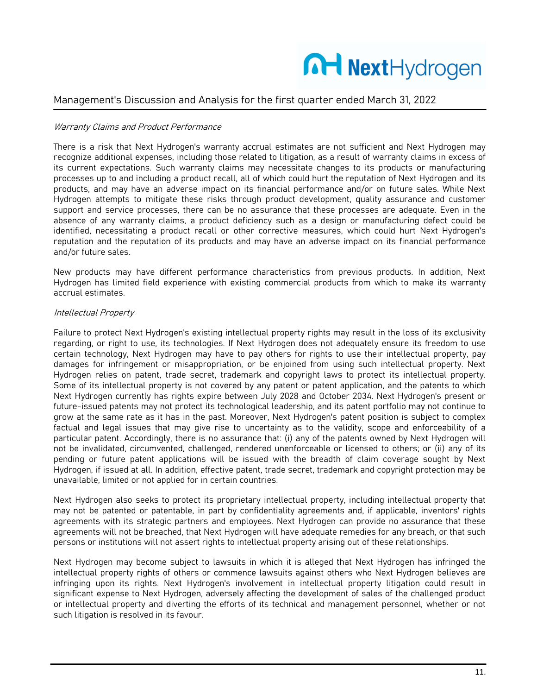

#### Warranty Claims and Product Performance

There is a risk that Next Hydrogen's warranty accrual estimates are not sufficient and Next Hydrogen may recognize additional expenses, including those related to litigation, as a result of warranty claims in excess of its current expectations. Such warranty claims may necessitate changes to its products or manufacturing processes up to and including a product recall, all of which could hurt the reputation of Next Hydrogen and its products, and may have an adverse impact on its financial performance and/or on future sales. While Next Hydrogen attempts to mitigate these risks through product development, quality assurance and customer support and service processes, there can be no assurance that these processes are adequate. Even in the absence of any warranty claims, a product deficiency such as a design or manufacturing defect could be identified, necessitating a product recall or other corrective measures, which could hurt Next Hydrogen's reputation and the reputation of its products and may have an adverse impact on its financial performance and/or future sales.

New products may have different performance characteristics from previous products. In addition, Next Hydrogen has limited field experience with existing commercial products from which to make its warranty accrual estimates.

#### Intellectual Property

Failure to protect Next Hydrogen's existing intellectual property rights may result in the loss of its exclusivity regarding, or right to use, its technologies. If Next Hydrogen does not adequately ensure its freedom to use certain technology, Next Hydrogen may have to pay others for rights to use their intellectual property, pay damages for infringement or misappropriation, or be enjoined from using such intellectual property. Next Hydrogen relies on patent, trade secret, trademark and copyright laws to protect its intellectual property. Some of its intellectual property is not covered by any patent or patent application, and the patents to which Next Hydrogen currently has rights expire between July 2028 and October 2034. Next Hydrogen's present or future-issued patents may not protect its technological leadership, and its patent portfolio may not continue to grow at the same rate as it has in the past. Moreover, Next Hydrogen's patent position is subject to complex factual and legal issues that may give rise to uncertainty as to the validity, scope and enforceability of a particular patent. Accordingly, there is no assurance that: (i) any of the patents owned by Next Hydrogen will not be invalidated, circumvented, challenged, rendered unenforceable or licensed to others; or (ii) any of its pending or future patent applications will be issued with the breadth of claim coverage sought by Next Hydrogen, if issued at all. In addition, effective patent, trade secret, trademark and copyright protection may be unavailable, limited or not applied for in certain countries.

Next Hydrogen also seeks to protect its proprietary intellectual property, including intellectual property that may not be patented or patentable, in part by confidentiality agreements and, if applicable, inventors' rights agreements with its strategic partners and employees. Next Hydrogen can provide no assurance that these agreements will not be breached, that Next Hydrogen will have adequate remedies for any breach, or that such persons or institutions will not assert rights to intellectual property arising out of these relationships.

Next Hydrogen may become subject to lawsuits in which it is alleged that Next Hydrogen has infringed the intellectual property rights of others or commence lawsuits against others who Next Hydrogen believes are infringing upon its rights. Next Hydrogen's involvement in intellectual property litigation could result in significant expense to Next Hydrogen, adversely affecting the development of sales of the challenged product or intellectual property and diverting the efforts of its technical and management personnel, whether or not such litigation is resolved in its favour.